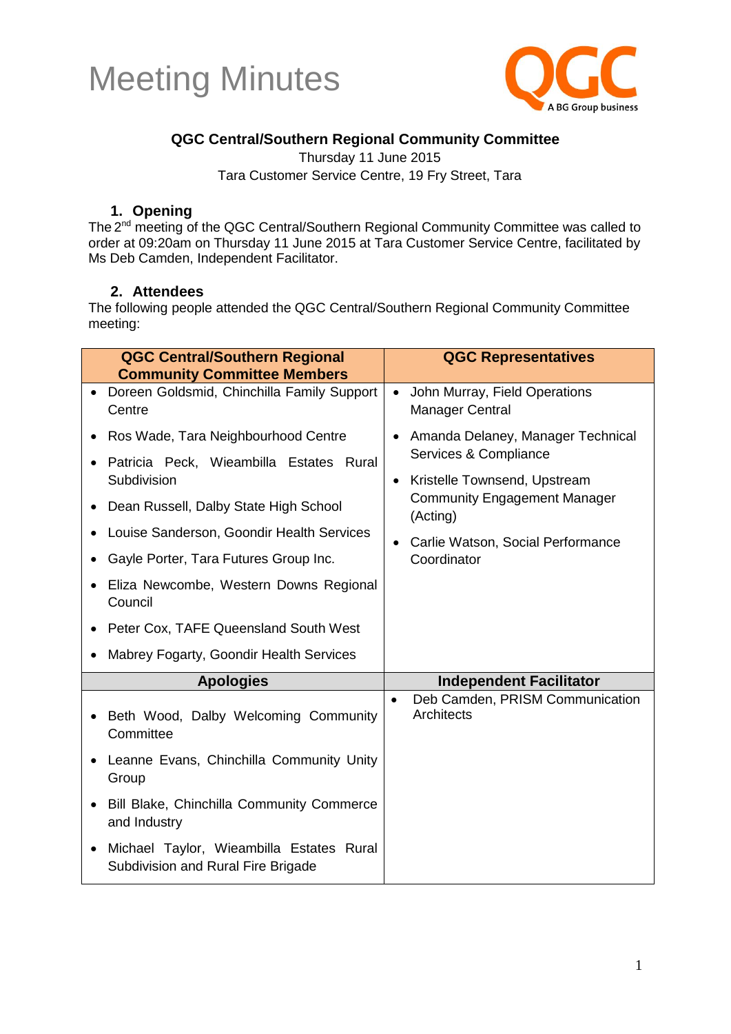



#### **QGC Central/Southern Regional Community Committee**

Thursday 11 June 2015 Tara Customer Service Centre, 19 Fry Street, Tara

#### **1. Opening**

The 2<sup>nd</sup> meeting of the QGC Central/Southern Regional Community Committee was called to order at 09:20am on Thursday 11 June 2015 at Tara Customer Service Centre, facilitated by Ms Deb Camden, Independent Facilitator.

#### **2. Attendees**

The following people attended the QGC Central/Southern Regional Community Committee meeting:

| <b>QGC Central/Southern Regional</b><br><b>Community Committee Members</b>                                                                                                                                                                                                                                                              | <b>QGC Representatives</b>                                                                                                                                                                                     |
|-----------------------------------------------------------------------------------------------------------------------------------------------------------------------------------------------------------------------------------------------------------------------------------------------------------------------------------------|----------------------------------------------------------------------------------------------------------------------------------------------------------------------------------------------------------------|
| • Doreen Goldsmid, Chinchilla Family Support<br>Centre                                                                                                                                                                                                                                                                                  | John Murray, Field Operations<br>$\bullet$<br><b>Manager Central</b>                                                                                                                                           |
| Ros Wade, Tara Neighbourhood Centre<br>Patricia Peck, Wieambilla Estates Rural<br>Subdivision<br>Dean Russell, Dalby State High School<br>Louise Sanderson, Goondir Health Services<br>$\bullet$<br>Gayle Porter, Tara Futures Group Inc.<br>Eliza Newcombe, Western Downs Regional<br>Council<br>Peter Cox, TAFE Queensland South West | Amanda Delaney, Manager Technical<br>Services & Compliance<br>Kristelle Townsend, Upstream<br>$\bullet$<br><b>Community Engagement Manager</b><br>(Acting)<br>Carlie Watson, Social Performance<br>Coordinator |
| Mabrey Fogarty, Goondir Health Services                                                                                                                                                                                                                                                                                                 |                                                                                                                                                                                                                |
| <b>Apologies</b>                                                                                                                                                                                                                                                                                                                        | <b>Independent Facilitator</b>                                                                                                                                                                                 |
| Beth Wood, Dalby Welcoming Community<br>$\bullet$<br>Committee                                                                                                                                                                                                                                                                          | Deb Camden, PRISM Communication<br>$\bullet$<br>Architects                                                                                                                                                     |
| Leanne Evans, Chinchilla Community Unity<br>Group                                                                                                                                                                                                                                                                                       |                                                                                                                                                                                                                |
| Bill Blake, Chinchilla Community Commerce<br>$\bullet$<br>and Industry                                                                                                                                                                                                                                                                  |                                                                                                                                                                                                                |
| Michael Taylor, Wieambilla Estates Rural<br>Subdivision and Rural Fire Brigade                                                                                                                                                                                                                                                          |                                                                                                                                                                                                                |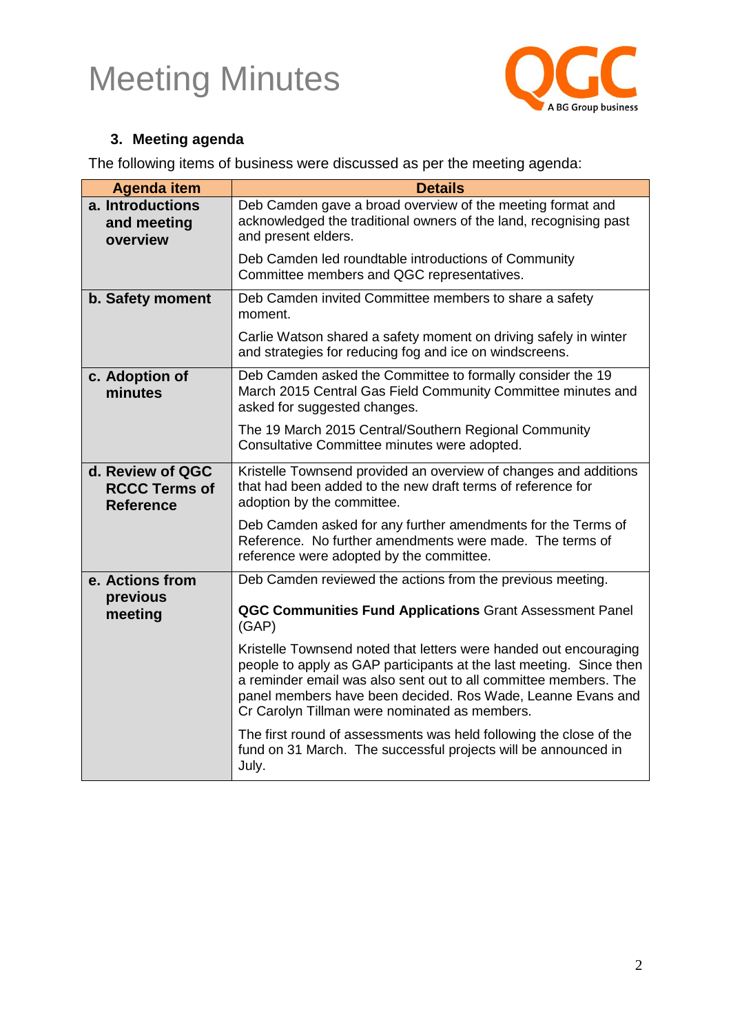

#### **3. Meeting agenda**

The following items of business were discussed as per the meeting agenda:

| <b>Agenda item</b>                                           | <b>Details</b>                                                                                                                                                                                                                                                                                                               |
|--------------------------------------------------------------|------------------------------------------------------------------------------------------------------------------------------------------------------------------------------------------------------------------------------------------------------------------------------------------------------------------------------|
| a. Introductions<br>and meeting<br>overview                  | Deb Camden gave a broad overview of the meeting format and<br>acknowledged the traditional owners of the land, recognising past<br>and present elders.                                                                                                                                                                       |
|                                                              | Deb Camden led roundtable introductions of Community<br>Committee members and QGC representatives.                                                                                                                                                                                                                           |
| b. Safety moment                                             | Deb Camden invited Committee members to share a safety<br>moment.                                                                                                                                                                                                                                                            |
|                                                              | Carlie Watson shared a safety moment on driving safely in winter<br>and strategies for reducing fog and ice on windscreens.                                                                                                                                                                                                  |
| c. Adoption of<br>minutes                                    | Deb Camden asked the Committee to formally consider the 19<br>March 2015 Central Gas Field Community Committee minutes and<br>asked for suggested changes.                                                                                                                                                                   |
|                                                              | The 19 March 2015 Central/Southern Regional Community<br>Consultative Committee minutes were adopted.                                                                                                                                                                                                                        |
| d. Review of QGC<br><b>RCCC Terms of</b><br><b>Reference</b> | Kristelle Townsend provided an overview of changes and additions<br>that had been added to the new draft terms of reference for<br>adoption by the committee.                                                                                                                                                                |
|                                                              | Deb Camden asked for any further amendments for the Terms of<br>Reference. No further amendments were made. The terms of<br>reference were adopted by the committee.                                                                                                                                                         |
| e. Actions from                                              | Deb Camden reviewed the actions from the previous meeting.                                                                                                                                                                                                                                                                   |
| previous<br>meeting                                          | <b>QGC Communities Fund Applications Grant Assessment Panel</b><br>(GAP)                                                                                                                                                                                                                                                     |
|                                                              | Kristelle Townsend noted that letters were handed out encouraging<br>people to apply as GAP participants at the last meeting. Since then<br>a reminder email was also sent out to all committee members. The<br>panel members have been decided. Ros Wade, Leanne Evans and<br>Cr Carolyn Tillman were nominated as members. |
|                                                              | The first round of assessments was held following the close of the<br>fund on 31 March. The successful projects will be announced in<br>July.                                                                                                                                                                                |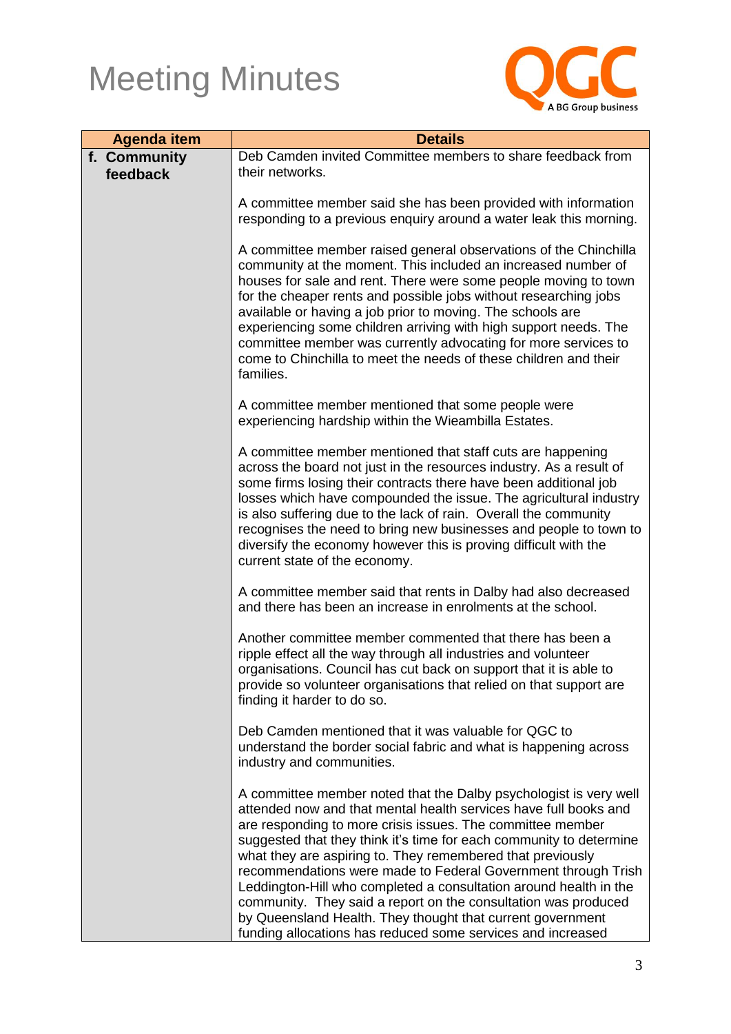

| <b>Agenda item</b> | <b>Details</b>                                                                                                                                                                                                                                                                                                                                                                                                                                                                                                                                                                                                                                                                |
|--------------------|-------------------------------------------------------------------------------------------------------------------------------------------------------------------------------------------------------------------------------------------------------------------------------------------------------------------------------------------------------------------------------------------------------------------------------------------------------------------------------------------------------------------------------------------------------------------------------------------------------------------------------------------------------------------------------|
| f. Community       | Deb Camden invited Committee members to share feedback from                                                                                                                                                                                                                                                                                                                                                                                                                                                                                                                                                                                                                   |
| feedback           | their networks.                                                                                                                                                                                                                                                                                                                                                                                                                                                                                                                                                                                                                                                               |
|                    | A committee member said she has been provided with information<br>responding to a previous enquiry around a water leak this morning.                                                                                                                                                                                                                                                                                                                                                                                                                                                                                                                                          |
|                    | A committee member raised general observations of the Chinchilla<br>community at the moment. This included an increased number of<br>houses for sale and rent. There were some people moving to town<br>for the cheaper rents and possible jobs without researching jobs<br>available or having a job prior to moving. The schools are<br>experiencing some children arriving with high support needs. The<br>committee member was currently advocating for more services to<br>come to Chinchilla to meet the needs of these children and their<br>families.                                                                                                                 |
|                    | A committee member mentioned that some people were<br>experiencing hardship within the Wieambilla Estates.                                                                                                                                                                                                                                                                                                                                                                                                                                                                                                                                                                    |
|                    | A committee member mentioned that staff cuts are happening<br>across the board not just in the resources industry. As a result of<br>some firms losing their contracts there have been additional job<br>losses which have compounded the issue. The agricultural industry<br>is also suffering due to the lack of rain. Overall the community<br>recognises the need to bring new businesses and people to town to<br>diversify the economy however this is proving difficult with the<br>current state of the economy.                                                                                                                                                      |
|                    | A committee member said that rents in Dalby had also decreased<br>and there has been an increase in enrolments at the school.                                                                                                                                                                                                                                                                                                                                                                                                                                                                                                                                                 |
|                    | Another committee member commented that there has been a<br>ripple effect all the way through all industries and volunteer<br>organisations. Council has cut back on support that it is able to<br>provide so volunteer organisations that relied on that support are<br>finding it harder to do so.                                                                                                                                                                                                                                                                                                                                                                          |
|                    | Deb Camden mentioned that it was valuable for QGC to<br>understand the border social fabric and what is happening across<br>industry and communities.                                                                                                                                                                                                                                                                                                                                                                                                                                                                                                                         |
|                    | A committee member noted that the Dalby psychologist is very well<br>attended now and that mental health services have full books and<br>are responding to more crisis issues. The committee member<br>suggested that they think it's time for each community to determine<br>what they are aspiring to. They remembered that previously<br>recommendations were made to Federal Government through Trish<br>Leddington-Hill who completed a consultation around health in the<br>community. They said a report on the consultation was produced<br>by Queensland Health. They thought that current government<br>funding allocations has reduced some services and increased |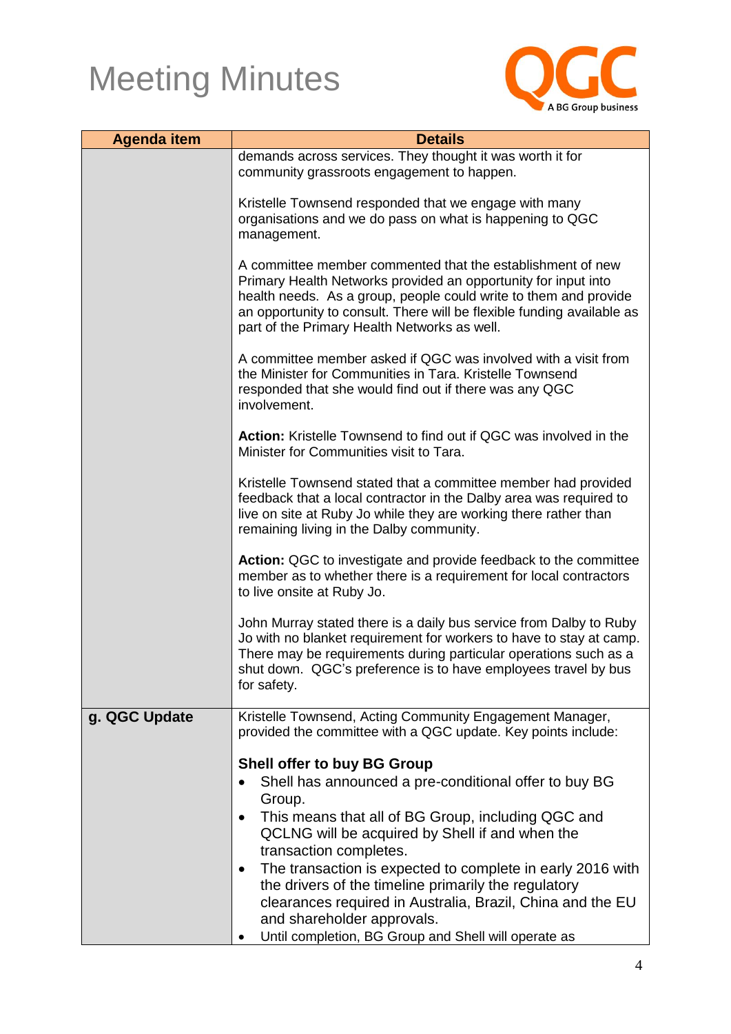

| <b>Agenda item</b> | <b>Details</b>                                                                                                                                                                                                                                                                                                             |
|--------------------|----------------------------------------------------------------------------------------------------------------------------------------------------------------------------------------------------------------------------------------------------------------------------------------------------------------------------|
|                    | demands across services. They thought it was worth it for                                                                                                                                                                                                                                                                  |
|                    | community grassroots engagement to happen.                                                                                                                                                                                                                                                                                 |
|                    |                                                                                                                                                                                                                                                                                                                            |
|                    | Kristelle Townsend responded that we engage with many                                                                                                                                                                                                                                                                      |
|                    | organisations and we do pass on what is happening to QGC<br>management.                                                                                                                                                                                                                                                    |
|                    |                                                                                                                                                                                                                                                                                                                            |
|                    | A committee member commented that the establishment of new<br>Primary Health Networks provided an opportunity for input into<br>health needs. As a group, people could write to them and provide<br>an opportunity to consult. There will be flexible funding available as<br>part of the Primary Health Networks as well. |
|                    |                                                                                                                                                                                                                                                                                                                            |
|                    | A committee member asked if QGC was involved with a visit from<br>the Minister for Communities in Tara. Kristelle Townsend<br>responded that she would find out if there was any QGC<br>involvement.                                                                                                                       |
|                    | Action: Kristelle Townsend to find out if QGC was involved in the<br>Minister for Communities visit to Tara.                                                                                                                                                                                                               |
|                    | Kristelle Townsend stated that a committee member had provided<br>feedback that a local contractor in the Dalby area was required to<br>live on site at Ruby Jo while they are working there rather than<br>remaining living in the Dalby community.                                                                       |
|                    | Action: QGC to investigate and provide feedback to the committee<br>member as to whether there is a requirement for local contractors<br>to live onsite at Ruby Jo.                                                                                                                                                        |
|                    | John Murray stated there is a daily bus service from Dalby to Ruby<br>Jo with no blanket requirement for workers to have to stay at camp.<br>There may be requirements during particular operations such as a<br>shut down. QGC's preference is to have employees travel by bus<br>for safety.                             |
| g. QGC Update      | Kristelle Townsend, Acting Community Engagement Manager,<br>provided the committee with a QGC update. Key points include:                                                                                                                                                                                                  |
|                    | <b>Shell offer to buy BG Group</b>                                                                                                                                                                                                                                                                                         |
|                    | Shell has announced a pre-conditional offer to buy BG                                                                                                                                                                                                                                                                      |
|                    | Group.                                                                                                                                                                                                                                                                                                                     |
|                    | This means that all of BG Group, including QGC and<br>QCLNG will be acquired by Shell if and when the<br>transaction completes.                                                                                                                                                                                            |
|                    | The transaction is expected to complete in early 2016 with                                                                                                                                                                                                                                                                 |
|                    | the drivers of the timeline primarily the regulatory<br>clearances required in Australia, Brazil, China and the EU                                                                                                                                                                                                         |
|                    | and shareholder approvals.                                                                                                                                                                                                                                                                                                 |
|                    | Until completion, BG Group and Shell will operate as                                                                                                                                                                                                                                                                       |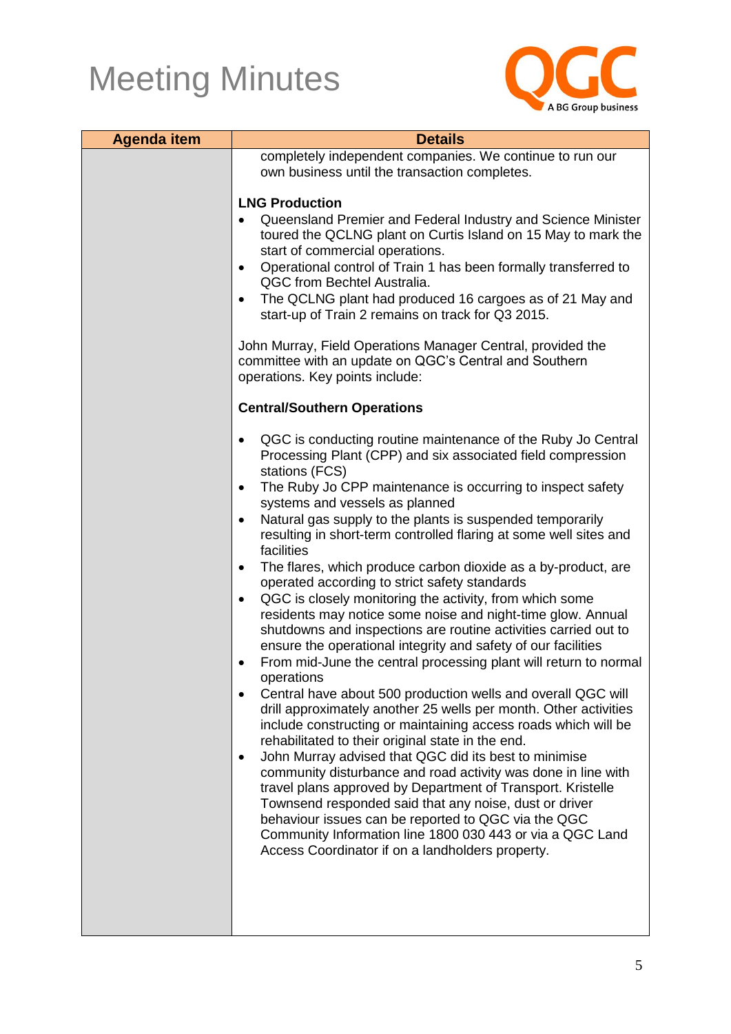

| <b>Agenda item</b> | <b>Details</b>                                                                                                                                                                                                                                                                                                                                                                                                                       |
|--------------------|--------------------------------------------------------------------------------------------------------------------------------------------------------------------------------------------------------------------------------------------------------------------------------------------------------------------------------------------------------------------------------------------------------------------------------------|
|                    | completely independent companies. We continue to run our                                                                                                                                                                                                                                                                                                                                                                             |
|                    | own business until the transaction completes.                                                                                                                                                                                                                                                                                                                                                                                        |
|                    | <b>LNG Production</b>                                                                                                                                                                                                                                                                                                                                                                                                                |
|                    | Queensland Premier and Federal Industry and Science Minister<br>toured the QCLNG plant on Curtis Island on 15 May to mark the<br>start of commercial operations.                                                                                                                                                                                                                                                                     |
|                    | Operational control of Train 1 has been formally transferred to<br>QGC from Bechtel Australia.                                                                                                                                                                                                                                                                                                                                       |
|                    | The QCLNG plant had produced 16 cargoes as of 21 May and<br>start-up of Train 2 remains on track for Q3 2015.                                                                                                                                                                                                                                                                                                                        |
|                    | John Murray, Field Operations Manager Central, provided the<br>committee with an update on QGC's Central and Southern<br>operations. Key points include:                                                                                                                                                                                                                                                                             |
|                    | <b>Central/Southern Operations</b>                                                                                                                                                                                                                                                                                                                                                                                                   |
|                    | QGC is conducting routine maintenance of the Ruby Jo Central<br>Processing Plant (CPP) and six associated field compression<br>stations (FCS)                                                                                                                                                                                                                                                                                        |
|                    | The Ruby Jo CPP maintenance is occurring to inspect safety<br>systems and vessels as planned                                                                                                                                                                                                                                                                                                                                         |
|                    | Natural gas supply to the plants is suspended temporarily<br>resulting in short-term controlled flaring at some well sites and<br>facilities                                                                                                                                                                                                                                                                                         |
|                    | The flares, which produce carbon dioxide as a by-product, are<br>$\bullet$<br>operated according to strict safety standards                                                                                                                                                                                                                                                                                                          |
|                    | QGC is closely monitoring the activity, from which some<br>٠<br>residents may notice some noise and night-time glow. Annual<br>shutdowns and inspections are routine activities carried out to<br>ensure the operational integrity and safety of our facilities                                                                                                                                                                      |
|                    | From mid-June the central processing plant will return to normal<br>operations                                                                                                                                                                                                                                                                                                                                                       |
|                    | Central have about 500 production wells and overall QGC will<br>$\bullet$<br>drill approximately another 25 wells per month. Other activities<br>include constructing or maintaining access roads which will be<br>rehabilitated to their original state in the end.                                                                                                                                                                 |
|                    | John Murray advised that QGC did its best to minimise<br>$\bullet$<br>community disturbance and road activity was done in line with<br>travel plans approved by Department of Transport. Kristelle<br>Townsend responded said that any noise, dust or driver<br>behaviour issues can be reported to QGC via the QGC<br>Community Information line 1800 030 443 or via a QGC Land<br>Access Coordinator if on a landholders property. |
|                    |                                                                                                                                                                                                                                                                                                                                                                                                                                      |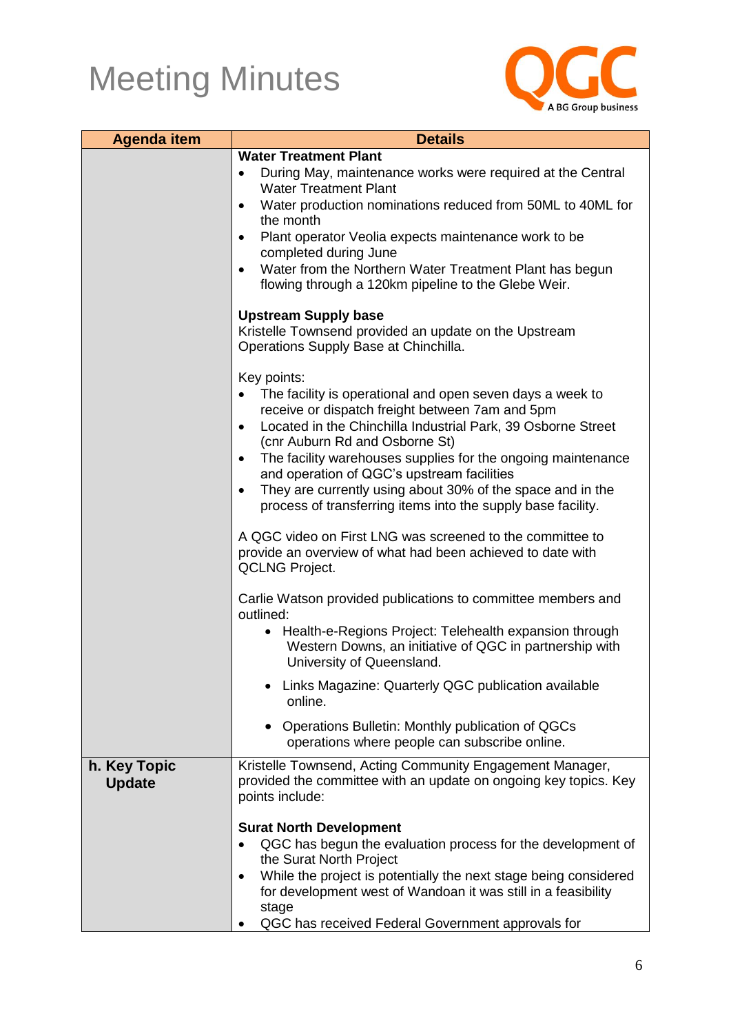

| <b>Agenda item</b>            | <b>Details</b>                                                                                                                                      |  |
|-------------------------------|-----------------------------------------------------------------------------------------------------------------------------------------------------|--|
|                               | <b>Water Treatment Plant</b>                                                                                                                        |  |
|                               | During May, maintenance works were required at the Central<br>$\bullet$<br><b>Water Treatment Plant</b>                                             |  |
|                               | Water production nominations reduced from 50ML to 40ML for<br>$\bullet$<br>the month                                                                |  |
|                               | Plant operator Veolia expects maintenance work to be<br>completed during June                                                                       |  |
|                               | Water from the Northern Water Treatment Plant has begun<br>flowing through a 120km pipeline to the Glebe Weir.                                      |  |
|                               | <b>Upstream Supply base</b><br>Kristelle Townsend provided an update on the Upstream<br>Operations Supply Base at Chinchilla.                       |  |
|                               | Key points:<br>The facility is operational and open seven days a week to<br>receive or dispatch freight between 7am and 5pm                         |  |
|                               | Located in the Chinchilla Industrial Park, 39 Osborne Street<br>$\bullet$<br>(cnr Auburn Rd and Osborne St)                                         |  |
|                               | The facility warehouses supplies for the ongoing maintenance<br>and operation of QGC's upstream facilities                                          |  |
|                               | They are currently using about 30% of the space and in the<br>$\bullet$<br>process of transferring items into the supply base facility.             |  |
|                               | A QGC video on First LNG was screened to the committee to<br>provide an overview of what had been achieved to date with<br><b>QCLNG Project.</b>    |  |
|                               | Carlie Watson provided publications to committee members and<br>outlined:                                                                           |  |
|                               | Health-e-Regions Project: Telehealth expansion through<br>٠<br>Western Downs, an initiative of QGC in partnership with<br>University of Queensland. |  |
|                               | Links Magazine: Quarterly QGC publication available<br>online.                                                                                      |  |
|                               | Operations Bulletin: Monthly publication of QGCs<br>operations where people can subscribe online.                                                   |  |
| h. Key Topic<br><b>Update</b> | Kristelle Townsend, Acting Community Engagement Manager,<br>provided the committee with an update on ongoing key topics. Key<br>points include:     |  |
|                               | <b>Surat North Development</b>                                                                                                                      |  |
|                               | QGC has begun the evaluation process for the development of<br>the Surat North Project                                                              |  |
|                               | While the project is potentially the next stage being considered<br>for development west of Wandoan it was still in a feasibility<br>stage          |  |
|                               | QGC has received Federal Government approvals for                                                                                                   |  |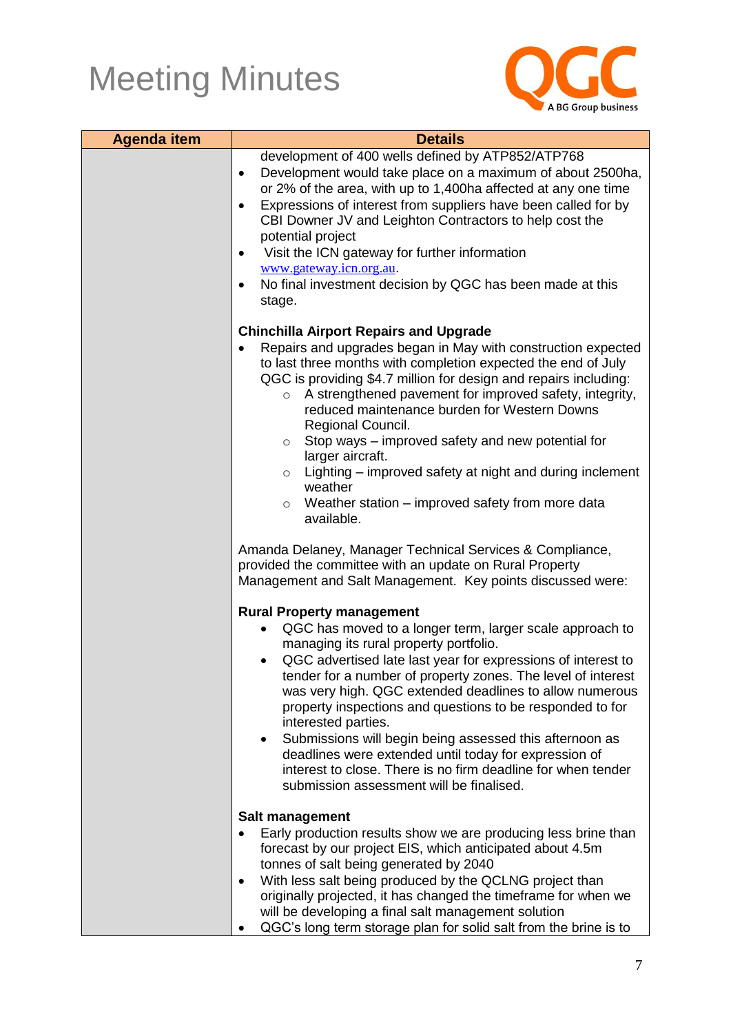

| <b>Agenda item</b> | <b>Details</b>                                                                                                                                                                                                                                                                                                                                                                                                                                                                                                                                                                                                                                                          |  |
|--------------------|-------------------------------------------------------------------------------------------------------------------------------------------------------------------------------------------------------------------------------------------------------------------------------------------------------------------------------------------------------------------------------------------------------------------------------------------------------------------------------------------------------------------------------------------------------------------------------------------------------------------------------------------------------------------------|--|
|                    | development of 400 wells defined by ATP852/ATP768<br>Development would take place on a maximum of about 2500ha,<br>$\bullet$<br>or 2% of the area, with up to 1,400ha affected at any one time<br>Expressions of interest from suppliers have been called for by<br>$\bullet$<br>CBI Downer JV and Leighton Contractors to help cost the<br>potential project<br>Visit the ICN gateway for further information<br>$\bullet$<br>www.gateway.icn.org.au.<br>No final investment decision by QGC has been made at this<br>٠<br>stage.                                                                                                                                      |  |
|                    | <b>Chinchilla Airport Repairs and Upgrade</b><br>Repairs and upgrades began in May with construction expected<br>to last three months with completion expected the end of July<br>QGC is providing \$4.7 million for design and repairs including:<br>A strengthened pavement for improved safety, integrity,<br>$\circ$<br>reduced maintenance burden for Western Downs<br>Regional Council.<br>Stop ways - improved safety and new potential for<br>$\circ$<br>larger aircraft.<br>Lighting – improved safety at night and during inclement<br>$\circ$<br>weather<br>Weather station – improved safety from more data<br>$\circ$<br>available.                        |  |
|                    | Amanda Delaney, Manager Technical Services & Compliance,<br>provided the committee with an update on Rural Property<br>Management and Salt Management. Key points discussed were:                                                                                                                                                                                                                                                                                                                                                                                                                                                                                       |  |
|                    | <b>Rural Property management</b><br>QGC has moved to a longer term, larger scale approach to<br>managing its rural property portfolio.<br>QGC advertised late last year for expressions of interest to<br>$\bullet$<br>tender for a number of property zones. The level of interest<br>was very high. QGC extended deadlines to allow numerous<br>property inspections and questions to be responded to for<br>interested parties.<br>Submissions will begin being assessed this afternoon as<br>٠<br>deadlines were extended until today for expression of<br>interest to close. There is no firm deadline for when tender<br>submission assessment will be finalised. |  |
|                    | <b>Salt management</b><br>Early production results show we are producing less brine than<br>forecast by our project EIS, which anticipated about 4.5m<br>tonnes of salt being generated by 2040<br>With less salt being produced by the QCLNG project than<br>$\bullet$<br>originally projected, it has changed the timeframe for when we<br>will be developing a final salt management solution<br>QGC's long term storage plan for solid salt from the brine is to                                                                                                                                                                                                    |  |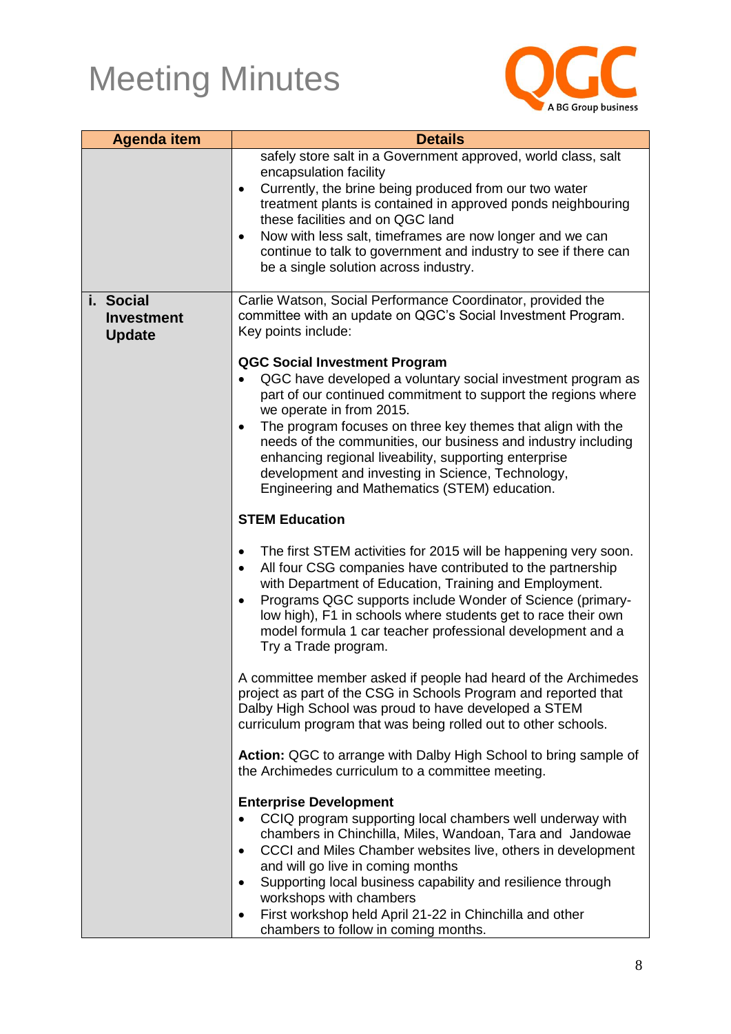

| <b>Agenda item</b>                              | <b>Details</b>                                                                                                                                                                                                                                                                                                                                                                                                                                                                                               |
|-------------------------------------------------|--------------------------------------------------------------------------------------------------------------------------------------------------------------------------------------------------------------------------------------------------------------------------------------------------------------------------------------------------------------------------------------------------------------------------------------------------------------------------------------------------------------|
|                                                 | safely store salt in a Government approved, world class, salt<br>encapsulation facility<br>Currently, the brine being produced from our two water<br>$\bullet$<br>treatment plants is contained in approved ponds neighbouring<br>these facilities and on QGC land<br>Now with less salt, timeframes are now longer and we can<br>$\bullet$<br>continue to talk to government and industry to see if there can<br>be a single solution across industry.                                                      |
| i. Social<br><b>Investment</b><br><b>Update</b> | Carlie Watson, Social Performance Coordinator, provided the<br>committee with an update on QGC's Social Investment Program.<br>Key points include:                                                                                                                                                                                                                                                                                                                                                           |
|                                                 | <b>QGC Social Investment Program</b><br>QGC have developed a voluntary social investment program as<br>part of our continued commitment to support the regions where<br>we operate in from 2015.<br>The program focuses on three key themes that align with the<br>$\bullet$<br>needs of the communities, our business and industry including<br>enhancing regional liveability, supporting enterprise<br>development and investing in Science, Technology,<br>Engineering and Mathematics (STEM) education. |
|                                                 | <b>STEM Education</b>                                                                                                                                                                                                                                                                                                                                                                                                                                                                                        |
|                                                 | The first STEM activities for 2015 will be happening very soon.<br>$\bullet$<br>All four CSG companies have contributed to the partnership<br>$\bullet$<br>with Department of Education, Training and Employment.<br>Programs QGC supports include Wonder of Science (primary-<br>$\bullet$<br>low high), F1 in schools where students get to race their own<br>model formula 1 car teacher professional development and a<br>Try a Trade program.                                                           |
|                                                 | A committee member asked if people had heard of the Archimedes<br>project as part of the CSG in Schools Program and reported that<br>Dalby High School was proud to have developed a STEM<br>curriculum program that was being rolled out to other schools.                                                                                                                                                                                                                                                  |
|                                                 | Action: QGC to arrange with Dalby High School to bring sample of<br>the Archimedes curriculum to a committee meeting.                                                                                                                                                                                                                                                                                                                                                                                        |
|                                                 | <b>Enterprise Development</b><br>CCIQ program supporting local chambers well underway with<br>chambers in Chinchilla, Miles, Wandoan, Tara and Jandowae<br>CCCI and Miles Chamber websites live, others in development<br>and will go live in coming months<br>Supporting local business capability and resilience through<br>$\bullet$<br>workshops with chambers<br>First workshop held April 21-22 in Chinchilla and other<br>٠<br>chambers to follow in coming months.                                   |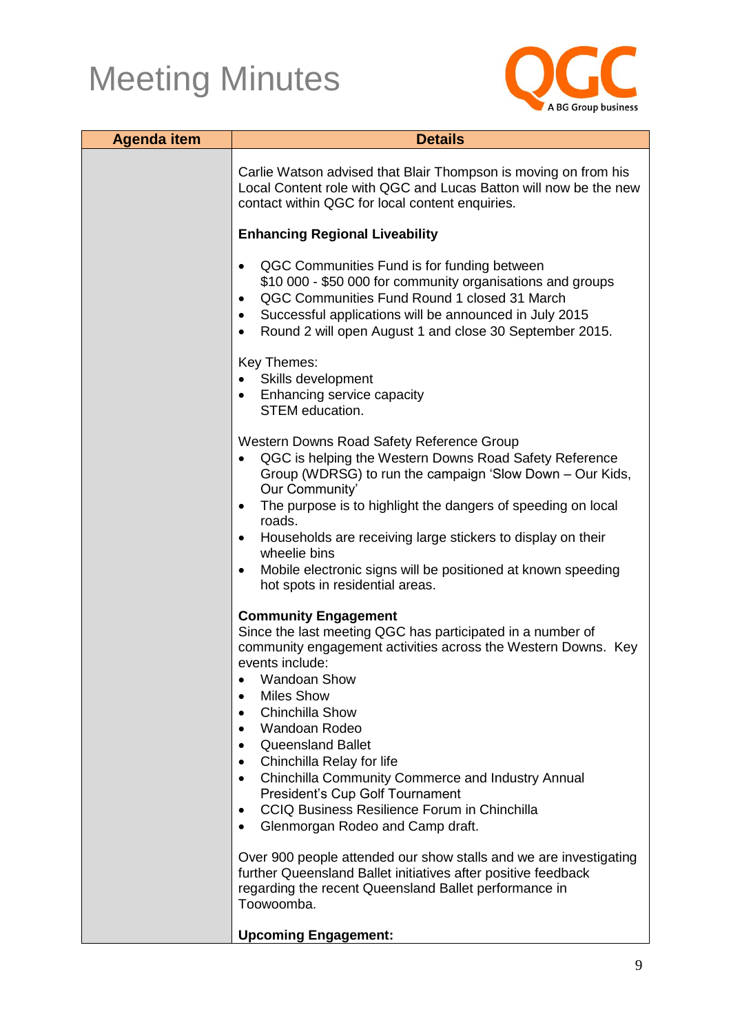

| <b>Agenda item</b> | <b>Details</b>                                                                                                                                                                                                                                                                                                                |
|--------------------|-------------------------------------------------------------------------------------------------------------------------------------------------------------------------------------------------------------------------------------------------------------------------------------------------------------------------------|
|                    | Carlie Watson advised that Blair Thompson is moving on from his<br>Local Content role with QGC and Lucas Batton will now be the new<br>contact within QGC for local content enquiries.                                                                                                                                        |
|                    | <b>Enhancing Regional Liveability</b>                                                                                                                                                                                                                                                                                         |
|                    | QGC Communities Fund is for funding between<br>٠<br>\$10 000 - \$50 000 for community organisations and groups<br>QGC Communities Fund Round 1 closed 31 March<br>Successful applications will be announced in July 2015<br>Round 2 will open August 1 and close 30 September 2015.<br>$\bullet$                              |
|                    | Key Themes:                                                                                                                                                                                                                                                                                                                   |
|                    | Skills development<br><b>Enhancing service capacity</b><br>$\bullet$<br><b>STEM</b> education.                                                                                                                                                                                                                                |
|                    | Western Downs Road Safety Reference Group<br>QGC is helping the Western Downs Road Safety Reference<br>Group (WDRSG) to run the campaign 'Slow Down - Our Kids,<br>Our Community'<br>The purpose is to highlight the dangers of speeding on local<br>$\bullet$                                                                |
|                    | roads.<br>Households are receiving large stickers to display on their                                                                                                                                                                                                                                                         |
|                    | wheelie bins<br>Mobile electronic signs will be positioned at known speeding<br>hot spots in residential areas.                                                                                                                                                                                                               |
|                    | <b>Community Engagement</b><br>Since the last meeting QGC has participated in a number of<br>community engagement activities across the Western Downs. Key<br>events include:<br><b>Wandoan Show</b><br><b>Miles Show</b><br><b>Chinchilla Show</b><br>Wandoan Rodeo<br><b>Queensland Ballet</b><br>Chinchilla Relay for life |
|                    | Chinchilla Community Commerce and Industry Annual<br>$\bullet$<br>President's Cup Golf Tournament<br>CCIQ Business Resilience Forum in Chinchilla<br>$\bullet$<br>Glenmorgan Rodeo and Camp draft.<br>$\bullet$                                                                                                               |
|                    | Over 900 people attended our show stalls and we are investigating<br>further Queensland Ballet initiatives after positive feedback<br>regarding the recent Queensland Ballet performance in<br>Toowoomba.                                                                                                                     |
|                    | <b>Upcoming Engagement:</b>                                                                                                                                                                                                                                                                                                   |